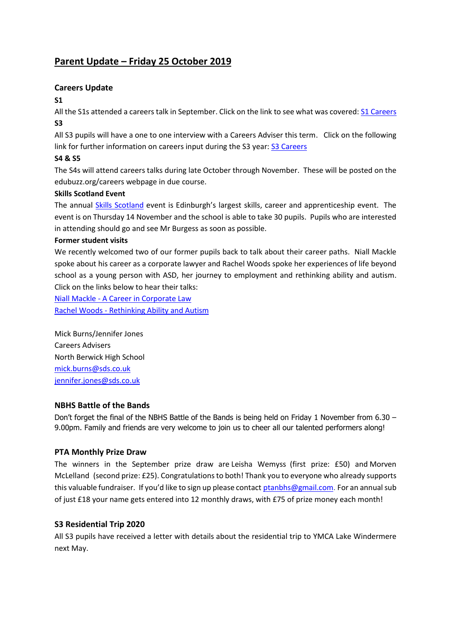# **Parent Update – Friday 25 October 2019**

# **Careers Update**

#### **S1**

All the S1s attended a careers talk in September. Click on the link to see what was covered[: S1 Careers](https://www.edubuzz.org/careers/2019/08/22/s1-nbhs-careers-talk-september-2019/) **S3**

All S3 pupils will have a one to one interview with a Careers Adviser this term. Click on the following link for further information on careers input during the S3 year: [S3 Careers](https://www.edubuzz.org/careers/2019/06/11/s3-careers-talk-june-2019/)

# **S4 & S5**

The S4s will attend careers talks during late October through November. These will be posted on the edubuzz.org/careers webpage in due course.

## **Skills Scotland Event**

The annual [Skills Scotland](https://www.edubuzz.org/careers/2019/10/23/skills-scotland-event/) event is Edinburgh's largest skills, career and apprenticeship event. The event is on Thursday 14 November and the school is able to take 30 pupils. Pupils who are interested in attending should go and see Mr Burgess as soon as possible.

## **Former student visits**

We recently welcomed two of our former pupils back to talk about their career paths. Niall Mackle spoke about his career as a corporate lawyer and Rachel Woods spoke her experiences of life beyond school as a young person with ASD, her journey to employment and rethinking ability and autism. Click on the links below to hear their talks:

Niall Mackle - [A Career in Corporate Law](https://www.edubuzz.org/careers/2019/09/19/a-career-in-corporate-law/)

Rachel Woods - [Rethinking Ability and Autism](https://www.edubuzz.org/careers/2019/10/15/rachel-woods-nbhs-22-october-2019/)

Mick Burns/Jennifer Jones Careers Advisers North Berwick High School [mick.burns@sds.co.uk](mailto:mick.burns@sds.co.uk) [jennifer.jones@sds.co.uk](mailto:jennifer.jones@sds.co.uk)

## **NBHS Battle of the Bands**

Don't forget the final of the NBHS Battle of the Bands is being held on Friday 1 November from 6.30 – 9.00pm. Family and friends are very welcome to join us to cheer all our talented performers along!

## **PTA Monthly Prize Draw**

The winners in the September prize draw are Leisha Wemyss (first prize: £50) and Morven McLelland (second prize: £25). Congratulations to both! Thank you to everyone who already supports this valuable fundraiser. If you'd like to sign up please contact [ptanbhs@gmail.com.](mailto:ptanbhs@gmail.com) For an annual sub of just £18 your name gets entered into 12 monthly draws, with £75 of prize money each month!

## **S3 Residential Trip 2020**

All S3 pupils have received a letter with details about the residential trip to YMCA Lake Windermere next May.